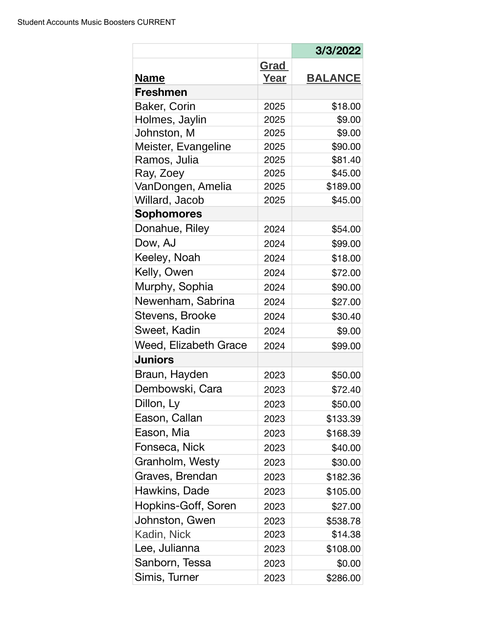|                       |             | 3/3/2022       |
|-----------------------|-------------|----------------|
|                       | <u>Grad</u> |                |
| <b>Name</b>           | Year        | <b>BALANCE</b> |
| <b>Freshmen</b>       |             |                |
| Baker, Corin          | 2025        | \$18.00        |
| Holmes, Jaylin        | 2025        | \$9.00         |
| Johnston, M           | 2025        | \$9.00         |
| Meister, Evangeline   | 2025        | \$90.00        |
| Ramos, Julia          | 2025        | \$81.40        |
| Ray, Zoey             | 2025        | \$45.00        |
| VanDongen, Amelia     | 2025        | \$189.00       |
| Willard, Jacob        | 2025        | \$45.00        |
| <b>Sophomores</b>     |             |                |
| Donahue, Riley        | 2024        | \$54.00        |
| Dow, AJ               | 2024        | \$99.00        |
| Keeley, Noah          | 2024        | \$18.00        |
| Kelly, Owen           | 2024        | \$72.00        |
| Murphy, Sophia        | 2024        | \$90.00        |
| Newenham, Sabrina     | 2024        | \$27.00        |
| Stevens, Brooke       | 2024        | \$30.40        |
| Sweet, Kadin          | 2024        | \$9.00         |
| Weed, Elizabeth Grace | 2024        | \$99.00        |
| <b>Juniors</b>        |             |                |
| Braun, Hayden         | 2023        | \$50.00        |
| Dembowski, Cara       | 2023        | \$72.40        |
| Dillon, Ly            | 2023        | \$50.00        |
| Eason, Callan         | 2023        | \$133.39       |
| Eason, Mia            | 2023        | \$168.39       |
| Fonseca, Nick         | 2023        | \$40.00        |
| Granholm, Westy       | 2023        | \$30.00        |
| Graves, Brendan       | 2023        | \$182.36       |
| Hawkins, Dade         | 2023        | \$105.00       |
| Hopkins-Goff, Soren   | 2023        | \$27.00        |
| Johnston, Gwen        | 2023        | \$538.78       |
| Kadin, Nick           | 2023        | \$14.38        |
| Lee, Julianna         | 2023        | \$108.00       |
| Sanborn, Tessa        | 2023        | \$0.00         |
| Simis, Turner         | 2023        | \$286.00       |